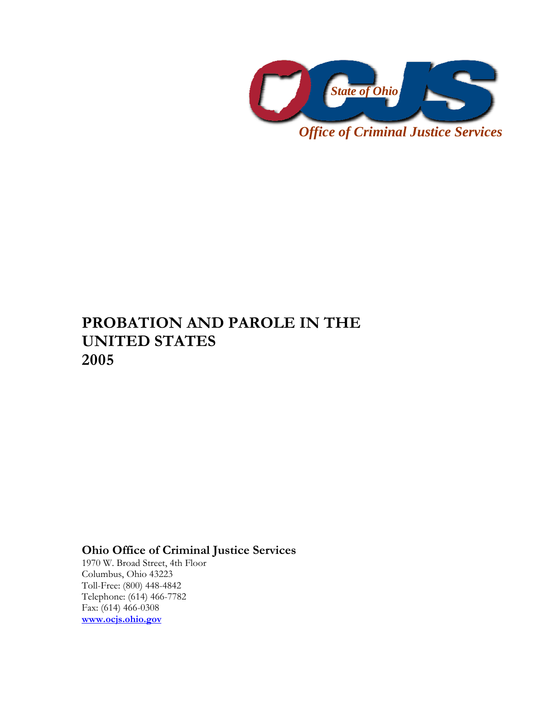

# **PROBATION AND PAROLE IN THE UNITED STATES 2005**

## **Ohio Office of Criminal Justice Services**

1970 W. Broad Street, 4th Floor Columbus, Ohio 43223 Toll-Free: (800) 448-4842 Telephone: (614) 466-7782 Fax: (614) 466-0308 **www.ocjs.ohio.gov**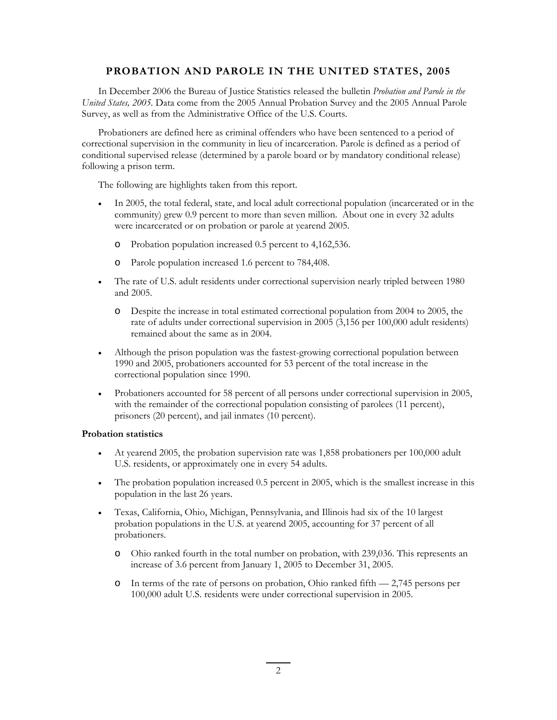### **PROBATION AND PAROLE IN THE UNITED STATES, 2005**

In December 2006 the Bureau of Justice Statistics released the bulletin *Probation and Parole in the United States, 2005.* Data come from the 2005 Annual Probation Survey and the 2005 Annual Parole Survey, as well as from the Administrative Office of the U.S. Courts.

Probationers are defined here as criminal offenders who have been sentenced to a period of correctional supervision in the community in lieu of incarceration. Parole is defined as a period of conditional supervised release (determined by a parole board or by mandatory conditional release) following a prison term.

The following are highlights taken from this report.

- In 2005, the total federal, state, and local adult correctional population (incarcerated or in the community) grew 0.9 percent to more than seven million. About one in every 32 adults were incarcerated or on probation or parole at yearend 2005.
	- o Probation population increased 0.5 percent to 4,162,536.
	- o Parole population increased 1.6 percent to 784,408.
- The rate of U.S. adult residents under correctional supervision nearly tripled between 1980 and 2005.
	- o Despite the increase in total estimated correctional population from 2004 to 2005, the rate of adults under correctional supervision in 2005 (3,156 per 100,000 adult residents) remained about the same as in 2004.
- Although the prison population was the fastest-growing correctional population between 1990 and 2005, probationers accounted for 53 percent of the total increase in the correctional population since 1990.
- Probationers accounted for 58 percent of all persons under correctional supervision in 2005, with the remainder of the correctional population consisting of parolees (11 percent), prisoners (20 percent), and jail inmates (10 percent).

#### **Probation statistics**

- At yearend 2005, the probation supervision rate was 1,858 probationers per 100,000 adult U.S. residents, or approximately one in every 54 adults.
- The probation population increased 0.5 percent in 2005, which is the smallest increase in this population in the last 26 years.
- Texas, California, Ohio, Michigan, Pennsylvania, and Illinois had six of the 10 largest probation populations in the U.S. at yearend 2005, accounting for 37 percent of all probationers.
	- o Ohio ranked fourth in the total number on probation, with 239,036. This represents an increase of 3.6 percent from January 1, 2005 to December 31, 2005.
	- o In terms of the rate of persons on probation, Ohio ranked fifth 2,745 persons per 100,000 adult U.S. residents were under correctional supervision in 2005.